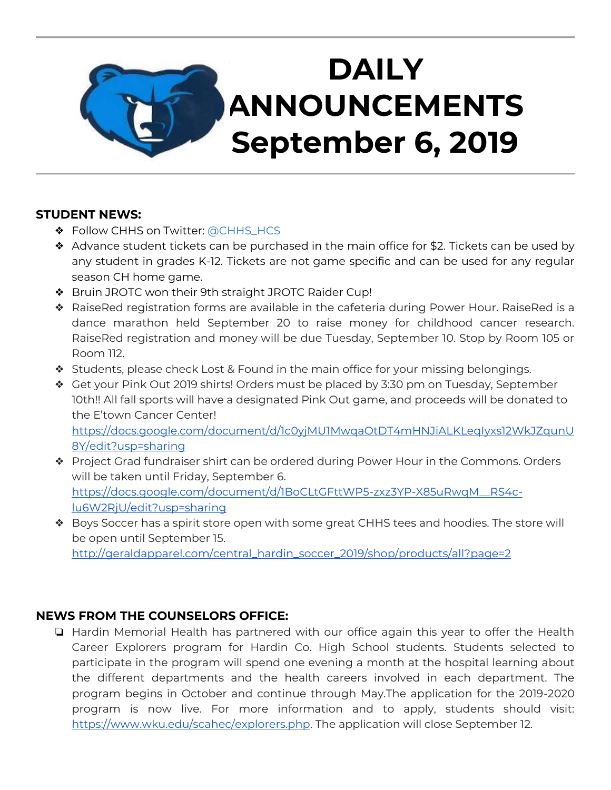# **DAILY ANNOUNCEMENTS September 6, 2019**

#### **STUDENT NEWS:**

- ◆ Follow CHHS on Twitter: [@CHHS\\_HCS](https://twitter.com/CHHS_HCS)
- ❖ Advance student tickets can be purchased in the main office for \$2. Tickets can be used by any student in grades K-12. Tickets are not game specific and can be used for any regular season CH home game.
- ❖ Bruin JROTC won their 9th straight JROTC Raider Cup!
- ❖ RaiseRed registration forms are available in the cafeteria during Power Hour. RaiseRed is a dance marathon held September 20 to raise money for childhood cancer research. RaiseRed registration and money will be due Tuesday, September 10. Stop by Room 105 or Room 112.
- ❖ Students, please check Lost & Found in the main office for your missing belongings.
- ❖ Get your Pink Out 2019 shirts! Orders must be placed by 3:30 pm on Tuesday, September 10th!! All fall sports will have a designated Pink Out game, and proceeds will be donated to the E'town Cancer Center! [https://docs.google.com/document/d/1c0yjMU1MwqaOtDT4mHNJiALKLeqIyxs12WkJZqunU](https://docs.google.com/document/d/1c0yjMU1MwqaOtDT4mHNJiALKLeqIyxs12WkJZqunU8Y/edit?usp=sharing) [8Y/edit?usp=sharing](https://docs.google.com/document/d/1c0yjMU1MwqaOtDT4mHNJiALKLeqIyxs12WkJZqunU8Y/edit?usp=sharing)
- ❖ Project Grad fundraiser shirt can be ordered during Power Hour in the Commons. Orders will be taken until Friday, September 6. [https://docs.google.com/document/d/1BoCLtGFttWP5-zxz3YP-X85uRwqM\\_\\_RS4c](https://docs.google.com/document/d/1BoCLtGFttWP5-zxz3YP-X85uRwqM__RS4c-lu6W2RjU/edit?usp=sharing)[lu6W2RjU/edit?usp=sharing](https://docs.google.com/document/d/1BoCLtGFttWP5-zxz3YP-X85uRwqM__RS4c-lu6W2RjU/edit?usp=sharing)
- ❖ Boys Soccer has a spirit store open with some great CHHS tees and hoodies. The store will be open until September 15.

[http://geraldapparel.com/central\\_hardin\\_soccer\\_2019/shop/products/all?page=2](http://geraldapparel.com/central_hardin_soccer_2019/shop/products/all?page=2)

## **NEWS FROM THE COUNSELORS OFFICE:**

❏ Hardin Memorial Health has partnered with our office again this year to offer the Health Career Explorers program for Hardin Co. High School students. Students selected to participate in the program will spend one evening a month at the hospital learning about the different departments and the health careers involved in each department. The program begins in October and continue through May.The application for the 2019-2020 program is now live. For more information and to apply, students should visit: [https://www.wku.edu/scahec/explorers.php.](https://www.wku.edu/scahec/explorers.php) The application will close September 12.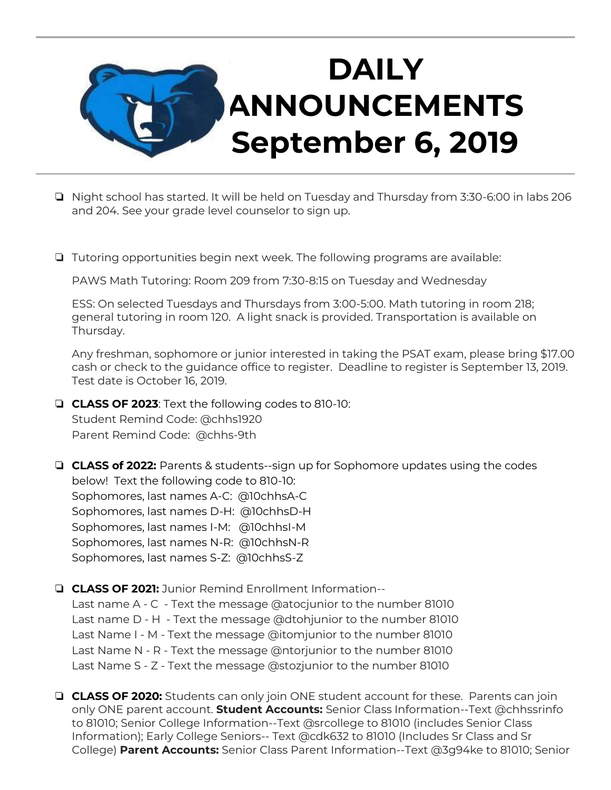

- ❏ Night school has started. It will be held on Tuesday and Thursday from 3:30-6:00 in labs 206 and 204. See your grade level counselor to sign up.
- ❏ Tutoring opportunities begin next week. The following programs are available:

PAWS Math Tutoring: Room 209 from 7:30-8:15 on Tuesday and Wednesday

ESS: On selected Tuesdays and Thursdays from 3:00-5:00. Math tutoring in room 218; general tutoring in room 120. A light snack is provided. Transportation is available on Thursday.

Any freshman, sophomore or junior interested in taking the PSAT exam, please bring \$17.00 cash or check to the guidance office to register. Deadline to register is September 13, 2019. Test date is October 16, 2019.

- ❏ **CLASS OF 2023**: Text the following codes to 810-10: Student Remind Code: @chhs1920 Parent Remind Code: @chhs-9th
- ❏ **CLASS of 2022:** Parents & students--sign up for Sophomore updates using the codes below! Text the following code to 810-10: Sophomores, last names A-C: @10chhsA-C Sophomores, last names D-H: @10chhsD-H Sophomores, last names I-M: @10chhsI-M Sophomores, last names N-R: @10chhsN-R Sophomores, last names S-Z: @10chhsS-Z
- ❏ **CLASS OF 2021:** Junior Remind Enrollment Information-- Last name A - C - Text the message @atocjunior to the number 81010 Last name D - H - Text the message @dtohjunior to the number 81010 Last Name I - M - Text the message @itomjunior to the number 81010 Last Name N - R - Text the message @ntorjunior to the number 81010 Last Name S - Z - Text the message @stozjunior to the number 81010
- ❏ **CLASS OF 2020:** Students can only join ONE student account for these. Parents can join only ONE parent account. **Student Accounts:** Senior Class Information--Text @chhssrinfo to 81010; Senior College Information--Text @srcollege to 81010 (includes Senior Class Information); Early College Seniors-- Text @cdk632 to 81010 (Includes Sr Class and Sr College) **Parent Accounts:** Senior Class Parent Information--Text @3g94ke to 81010; Senior